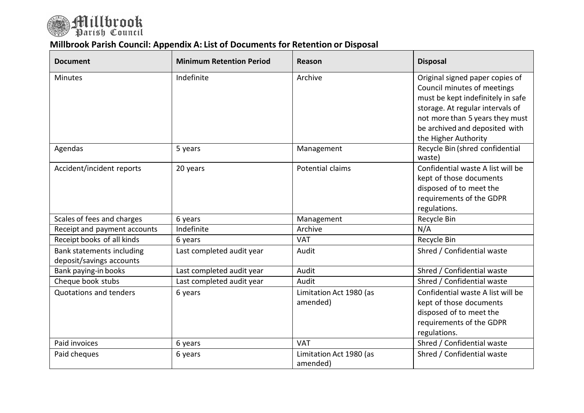

## **Millbrook Parish Council: Appendix A: List of Documents for Retention or Disposal**

| <b>Document</b>                                       | <b>Minimum Retention Period</b> | Reason                              | <b>Disposal</b>                                                                                                                     |
|-------------------------------------------------------|---------------------------------|-------------------------------------|-------------------------------------------------------------------------------------------------------------------------------------|
| <b>Minutes</b>                                        | Indefinite                      | Archive                             | Original signed paper copies of<br>Council minutes of meetings<br>must be kept indefinitely in safe                                 |
|                                                       |                                 |                                     | storage. At regular intervals of<br>not more than 5 years they must<br>be archived and deposited with                               |
| Agendas                                               | 5 years                         | Management                          | the Higher Authority<br>Recycle Bin (shred confidential<br>waste)                                                                   |
| Accident/incident reports                             | 20 years                        | Potential claims                    | Confidential waste A list will be<br>kept of those documents<br>disposed of to meet the<br>requirements of the GDPR<br>regulations. |
| Scales of fees and charges                            | 6 years                         | Management                          | Recycle Bin                                                                                                                         |
| Receipt and payment accounts                          | Indefinite                      | Archive                             | N/A                                                                                                                                 |
| Receipt books of all kinds                            | 6 years                         | <b>VAT</b>                          | Recycle Bin                                                                                                                         |
| Bank statements including<br>deposit/savings accounts | Last completed audit year       | Audit                               | Shred / Confidential waste                                                                                                          |
| Bank paying-in books                                  | Last completed audit year       | Audit                               | Shred / Confidential waste                                                                                                          |
| Cheque book stubs                                     | Last completed audit year       | Audit                               | Shred / Confidential waste                                                                                                          |
| Quotations and tenders                                | 6 years                         | Limitation Act 1980 (as<br>amended) | Confidential waste A list will be<br>kept of those documents<br>disposed of to meet the<br>requirements of the GDPR<br>regulations. |
| Paid invoices                                         | 6 years                         | <b>VAT</b>                          | Shred / Confidential waste                                                                                                          |
| Paid cheques                                          | 6 years                         | Limitation Act 1980 (as<br>amended) | Shred / Confidential waste                                                                                                          |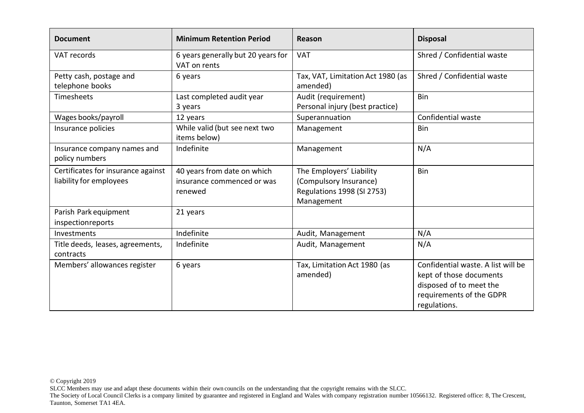| <b>Document</b>                                               | <b>Minimum Retention Period</b>                                      | Reason                                                                                         | <b>Disposal</b>                                                                                                                      |
|---------------------------------------------------------------|----------------------------------------------------------------------|------------------------------------------------------------------------------------------------|--------------------------------------------------------------------------------------------------------------------------------------|
| VAT records                                                   | 6 years generally but 20 years for<br>VAT on rents                   | <b>VAT</b>                                                                                     | Shred / Confidential waste                                                                                                           |
| Petty cash, postage and<br>telephone books                    | 6 years                                                              | Tax, VAT, Limitation Act 1980 (as<br>amended)                                                  | Shred / Confidential waste                                                                                                           |
| Timesheets                                                    | Last completed audit year<br>3 years                                 | Audit (requirement)<br>Personal injury (best practice)                                         | <b>Bin</b>                                                                                                                           |
| Wages books/payroll                                           | 12 years                                                             | Superannuation                                                                                 | Confidential waste                                                                                                                   |
| Insurance policies                                            | While valid (but see next two<br>items below)                        | Management                                                                                     | <b>Bin</b>                                                                                                                           |
| Insurance company names and<br>policy numbers                 | Indefinite                                                           | Management                                                                                     | N/A                                                                                                                                  |
| Certificates for insurance against<br>liability for employees | 40 years from date on which<br>insurance commenced or was<br>renewed | The Employers' Liability<br>(Compulsory Insurance)<br>Regulations 1998 (SI 2753)<br>Management | Bin                                                                                                                                  |
| Parish Park equipment<br>inspectionreports                    | 21 years                                                             |                                                                                                |                                                                                                                                      |
| Investments                                                   | Indefinite                                                           | Audit, Management                                                                              | N/A                                                                                                                                  |
| Title deeds, leases, agreements,<br>contracts                 | Indefinite                                                           | Audit, Management                                                                              | N/A                                                                                                                                  |
| Members' allowances register                                  | 6 years                                                              | Tax, Limitation Act 1980 (as<br>amended)                                                       | Confidential waste. A list will be<br>kept of those documents<br>disposed of to meet the<br>requirements of the GDPR<br>regulations. |

SLCC Members may use and adapt these documents within their own councils on the understanding that the copyright remains with the SLCC.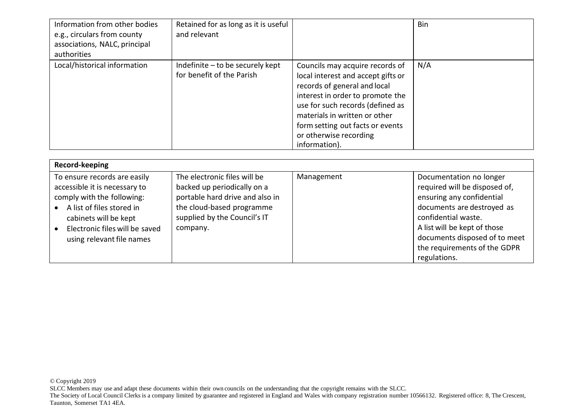| Information from other bodies<br>e.g., circulars from county<br>associations, NALC, principal<br>authorities | Retained for as long as it is useful<br>and relevant          |                                                                                                                                                                                                                                                                                               | Bin |
|--------------------------------------------------------------------------------------------------------------|---------------------------------------------------------------|-----------------------------------------------------------------------------------------------------------------------------------------------------------------------------------------------------------------------------------------------------------------------------------------------|-----|
| Local/historical information                                                                                 | Indefinite - to be securely kept<br>for benefit of the Parish | Councils may acquire records of<br>local interest and accept gifts or<br>records of general and local<br>interest in order to promote the<br>use for such records (defined as<br>materials in written or other<br>form setting out facts or events<br>or otherwise recording<br>information). | N/A |

| Record-keeping                                                                                                                                                                                                   |                                                                                                                                                                         |            |                                                                                                                                                                                                                                                             |
|------------------------------------------------------------------------------------------------------------------------------------------------------------------------------------------------------------------|-------------------------------------------------------------------------------------------------------------------------------------------------------------------------|------------|-------------------------------------------------------------------------------------------------------------------------------------------------------------------------------------------------------------------------------------------------------------|
| To ensure records are easily<br>accessible it is necessary to<br>comply with the following:<br>A list of files stored in<br>cabinets will be kept<br>Electronic files will be saved<br>using relevant file names | The electronic files will be<br>backed up periodically on a<br>portable hard drive and also in<br>the cloud-based programme<br>supplied by the Council's IT<br>company. | Management | Documentation no longer<br>required will be disposed of,<br>ensuring any confidential<br>documents are destroyed as<br>confidential waste.<br>A list will be kept of those<br>documents disposed of to meet<br>the requirements of the GDPR<br>regulations. |

© Copyright 2019

SLCC Members may use and adapt these documents within their own councils on the understanding that the copyright remains with the SLCC.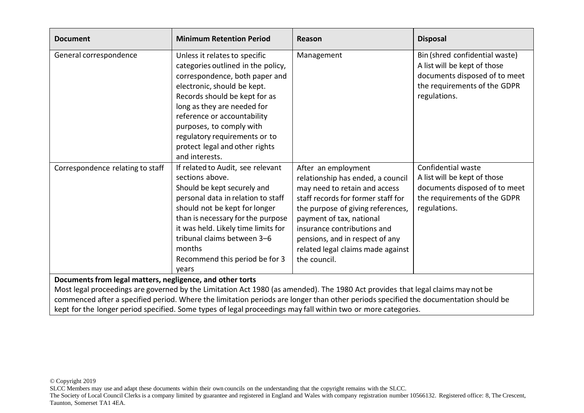| <b>Document</b>                                                                                                                                                                              | <b>Minimum Retention Period</b>                                                                                                                                                                                                                                                                                                                      | Reason                                                                                                                                                                                                                                                                                                                  | <b>Disposal</b>                                                                                                                                 |
|----------------------------------------------------------------------------------------------------------------------------------------------------------------------------------------------|------------------------------------------------------------------------------------------------------------------------------------------------------------------------------------------------------------------------------------------------------------------------------------------------------------------------------------------------------|-------------------------------------------------------------------------------------------------------------------------------------------------------------------------------------------------------------------------------------------------------------------------------------------------------------------------|-------------------------------------------------------------------------------------------------------------------------------------------------|
| General correspondence                                                                                                                                                                       | Unless it relates to specific<br>categories outlined in the policy,<br>correspondence, both paper and<br>electronic, should be kept.<br>Records should be kept for as<br>long as they are needed for<br>reference or accountability<br>purposes, to comply with<br>regulatory requirements or to<br>protect legal and other rights<br>and interests. | Management                                                                                                                                                                                                                                                                                                              | Bin (shred confidential waste)<br>A list will be kept of those<br>documents disposed of to meet<br>the requirements of the GDPR<br>regulations. |
| Correspondence relating to staff                                                                                                                                                             | If related to Audit, see relevant<br>sections above.<br>Should be kept securely and<br>personal data in relation to staff<br>should not be kept for longer<br>than is necessary for the purpose<br>it was held. Likely time limits for<br>tribunal claims between 3-6<br>months<br>Recommend this period be for 3<br>years                           | After an employment<br>relationship has ended, a council<br>may need to retain and access<br>staff records for former staff for<br>the purpose of giving references,<br>payment of tax, national<br>insurance contributions and<br>pensions, and in respect of any<br>related legal claims made against<br>the council. | Confidential waste<br>A list will be kept of those<br>documents disposed of to meet<br>the requirements of the GDPR<br>regulations.             |
| Documents from legal matters, negligence, and other torts<br>Most legal proceedings are governed by the Limitation Act 1980 (as amended). The 1980 Act provides that legal claims may not be |                                                                                                                                                                                                                                                                                                                                                      |                                                                                                                                                                                                                                                                                                                         |                                                                                                                                                 |
| commenced after a specified period. Where the limitation periods are longer than other periods specified the documentation should be                                                         |                                                                                                                                                                                                                                                                                                                                                      |                                                                                                                                                                                                                                                                                                                         |                                                                                                                                                 |

kept for the longer period specified. Some types of legal proceedings may fall within two or more categories.

© Copyright 2019

SLCC Members may use and adapt these documents within their own councils on the understanding that the copyright remains with the SLCC.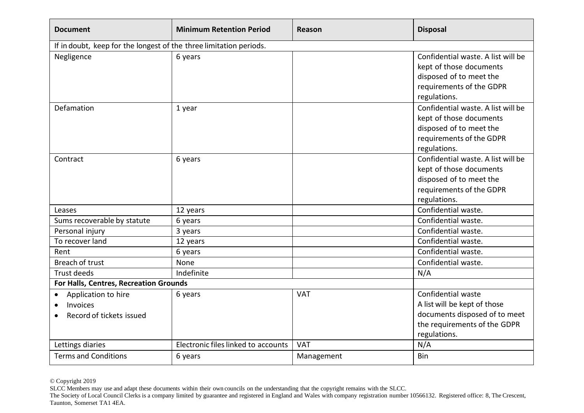| <b>Document</b>                                                          | <b>Minimum Retention Period</b>     | Reason     | <b>Disposal</b>                                                                                                                      |
|--------------------------------------------------------------------------|-------------------------------------|------------|--------------------------------------------------------------------------------------------------------------------------------------|
| If in doubt, keep for the longest of the three limitation periods.       |                                     |            |                                                                                                                                      |
| Negligence                                                               | 6 years                             |            | Confidential waste. A list will be<br>kept of those documents<br>disposed of to meet the<br>requirements of the GDPR<br>regulations. |
| Defamation                                                               | 1 year                              |            | Confidential waste. A list will be<br>kept of those documents<br>disposed of to meet the<br>requirements of the GDPR<br>regulations. |
| Contract                                                                 | 6 years                             |            | Confidential waste. A list will be<br>kept of those documents<br>disposed of to meet the<br>requirements of the GDPR<br>regulations. |
| Leases                                                                   | 12 years                            |            | Confidential waste.                                                                                                                  |
| Sums recoverable by statute                                              | 6 years                             |            | Confidential waste.                                                                                                                  |
| Personal injury                                                          | 3 years                             |            | Confidential waste.                                                                                                                  |
| To recover land                                                          | 12 years                            |            | Confidential waste.                                                                                                                  |
| Rent                                                                     | 6 years                             |            | Confidential waste.                                                                                                                  |
| Breach of trust                                                          | None                                |            | Confidential waste.                                                                                                                  |
| <b>Trust deeds</b>                                                       | Indefinite                          |            | N/A                                                                                                                                  |
| For Halls, Centres, Recreation Grounds                                   |                                     |            |                                                                                                                                      |
| Application to hire<br>$\bullet$<br>Invoices<br>Record of tickets issued | 6 years                             | <b>VAT</b> | Confidential waste<br>A list will be kept of those<br>documents disposed of to meet<br>the requirements of the GDPR<br>regulations.  |
| Lettings diaries                                                         | Electronic files linked to accounts | <b>VAT</b> | N/A                                                                                                                                  |
| <b>Terms and Conditions</b>                                              | 6 years                             | Management | Bin                                                                                                                                  |

© Copyright 2019

SLCC Members may use and adapt these documents within their own councils on the understanding that the copyright remains with the SLCC.